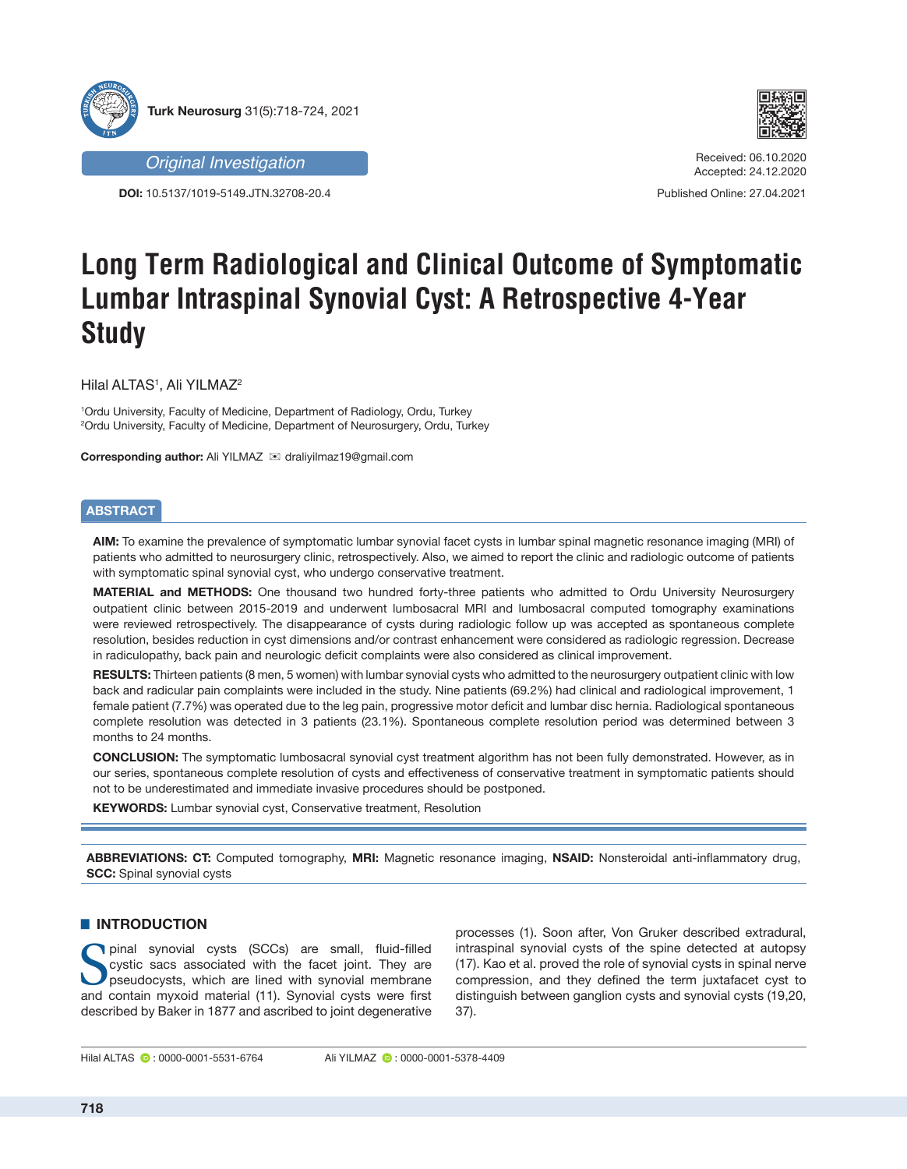

**DOI:** 10.5137/1019-5149.JTN.32708-20.4



Received: 06.10.2020 Accepted: 24.12.2020

Published Online: 27.04.2021

# **Long Term Radiological and Clinical Outcome of Symptomatic Lumbar Intraspinal Synovial Cyst: A Retrospective 4-Year Study**

 $H$ ilal ALTAS $1$ , Ali YILMAZ $2$ 

1 Ordu University, Faculty of Medicine, Department of Radiology, Ordu, Turkey 2 Ordu University, Faculty of Medicine, Department of Neurosurgery, Ordu, Turkey

**Corresponding author:** Ali YILMAZ **ixxxlding** draliyilmaz19@gmail.com

# **ABSTRACT**

**AIM:** To examine the prevalence of symptomatic lumbar synovial facet cysts in lumbar spinal magnetic resonance imaging (MRI) of patients who admitted to neurosurgery clinic, retrospectively. Also, we aimed to report the clinic and radiologic outcome of patients with symptomatic spinal synovial cyst, who undergo conservative treatment.

**MATERIAL and METHODS:** One thousand two hundred forty-three patients who admitted to Ordu University Neurosurgery outpatient clinic between 2015-2019 and underwent lumbosacral MRI and lumbosacral computed tomography examinations were reviewed retrospectively. The disappearance of cysts during radiologic follow up was accepted as spontaneous complete resolution, besides reduction in cyst dimensions and/or contrast enhancement were considered as radiologic regression. Decrease in radiculopathy, back pain and neurologic deficit complaints were also considered as clinical improvement.

**RESULTS:** Thirteen patients (8 men, 5 women) with lumbar synovial cysts who admitted to the neurosurgery outpatient clinic with low back and radicular pain complaints were included in the study. Nine patients (69.2%) had clinical and radiological improvement, 1 female patient (7.7%) was operated due to the leg pain, progressive motor deficit and lumbar disc hernia. Radiological spontaneous complete resolution was detected in 3 patients (23.1%). Spontaneous complete resolution period was determined between 3 months to 24 months.

**CONCLUSION:** The symptomatic lumbosacral synovial cyst treatment algorithm has not been fully demonstrated. However, as in our series, spontaneous complete resolution of cysts and effectiveness of conservative treatment in symptomatic patients should not to be underestimated and immediate invasive procedures should be postponed.

**KEYWORDS:** Lumbar synovial cyst, Conservative treatment, Resolution

**ABBREVIATIONS: CT:** Computed tomography, **MRI:** Magnetic resonance imaging, **NSAID:** Nonsteroidal anti-inflammatory drug, **SCC:** Spinal synovial cysts

# $\blacksquare$  **INTRODUCTION**

pinal synovial cysts (SCCs) are small, fluid-filled<br>cystic sacs associated with the facet joint. They are<br>pseudocysts, which are lined with synovial membrane<br>and contain myxoid material (11). Synovial cysts were first cystic sacs associated with the facet joint. They are pseudocysts, which are lined with synovial membrane and contain myxoid material (11). Synovial cysts were first described by Baker in 1877 and ascribed to joint degenerative

processes (1). Soon after, Von Gruker described extradural, intraspinal synovial cysts of the spine detected at autopsy (17). Kao et al. proved the role of synovial cysts in spinal nerve compression, and they defined the term juxtafacet cyst to distinguish between ganglion cysts and synovial cysts (19,20, 37).

Hilal ALTAS  $\bullet$ : 0000-0001-5531-6764 Ali YILMAZ  $\bullet$ : 0000-0001-5378-4409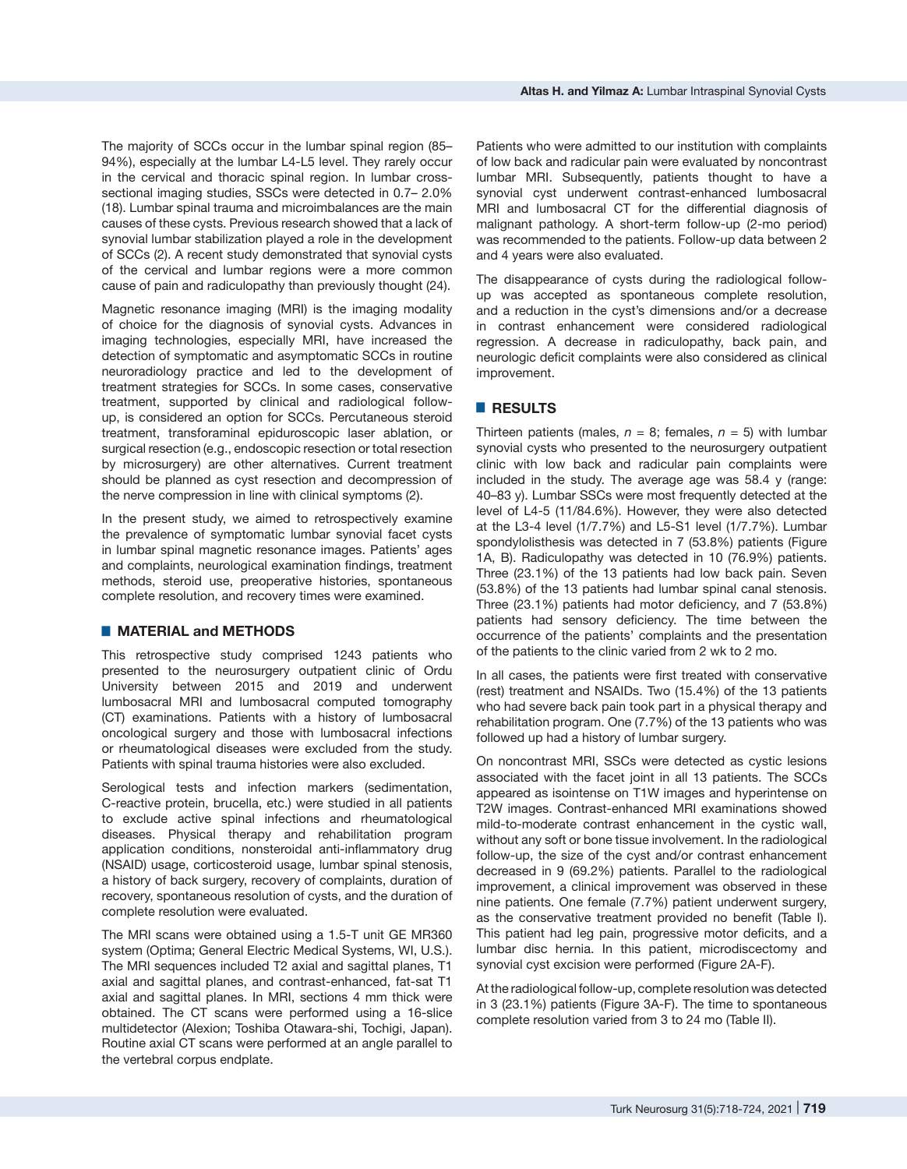The majority of SCCs occur in the lumbar spinal region (85– 94%), especially at the lumbar L4-L5 level. They rarely occur in the cervical and thoracic spinal region. In lumbar crosssectional imaging studies, SSCs were detected in 0.7– 2.0% (18). Lumbar spinal trauma and microimbalances are the main causes of these cysts. Previous research showed that a lack of synovial lumbar stabilization played a role in the development of SCCs (2). A recent study demonstrated that synovial cysts of the cervical and lumbar regions were a more common cause of pain and radiculopathy than previously thought (24).

Magnetic resonance imaging (MRI) is the imaging modality of choice for the diagnosis of synovial cysts. Advances in imaging technologies, especially MRI, have increased the detection of symptomatic and asymptomatic SCCs in routine neuroradiology practice and led to the development of treatment strategies for SCCs. In some cases, conservative treatment, supported by clinical and radiological followup, is considered an option for SCCs. Percutaneous steroid treatment, transforaminal epiduroscopic laser ablation, or surgical resection (e.g., endoscopic resection or total resection by microsurgery) are other alternatives. Current treatment should be planned as cyst resection and decompression of the nerve compression in line with clinical symptoms (2).

In the present study, we aimed to retrospectively examine the prevalence of symptomatic lumbar synovial facet cysts in lumbar spinal magnetic resonance images. Patients' ages and complaints, neurological examination findings, treatment methods, steroid use, preoperative histories, spontaneous complete resolution, and recovery times were examined.

## █ **MATERIAL and METHODS**

This retrospective study comprised 1243 patients who presented to the neurosurgery outpatient clinic of Ordu University between 2015 and 2019 and underwent lumbosacral MRI and lumbosacral computed tomography (CT) examinations. Patients with a history of lumbosacral oncological surgery and those with lumbosacral infections or rheumatological diseases were excluded from the study. Patients with spinal trauma histories were also excluded.

Serological tests and infection markers (sedimentation, C-reactive protein, brucella, etc.) were studied in all patients to exclude active spinal infections and rheumatological diseases. Physical therapy and rehabilitation program application conditions, nonsteroidal anti-inflammatory drug (NSAID) usage, corticosteroid usage, lumbar spinal stenosis, a history of back surgery, recovery of complaints, duration of recovery, spontaneous resolution of cysts, and the duration of complete resolution were evaluated.

The MRI scans were obtained using a 1.5-T unit GE MR360 system (Optima; General Electric Medical Systems, WI, U.S.). The MRI sequences included T2 axial and sagittal planes, T1 axial and sagittal planes, and contrast-enhanced, fat-sat T1 axial and sagittal planes. In MRI, sections 4 mm thick were obtained. The CT scans were performed using a 16-slice multidetector (Alexion; Toshiba Otawara-shi, Tochigi, Japan). Routine axial CT scans were performed at an angle parallel to the vertebral corpus endplate.

Patients who were admitted to our institution with complaints of low back and radicular pain were evaluated by noncontrast lumbar MRI. Subsequently, patients thought to have a synovial cyst underwent contrast-enhanced lumbosacral MRI and lumbosacral CT for the differential diagnosis of malignant pathology. A short-term follow-up (2-mo period) was recommended to the patients. Follow-up data between 2 and 4 years were also evaluated.

The disappearance of cysts during the radiological followup was accepted as spontaneous complete resolution, and a reduction in the cyst's dimensions and/or a decrease in contrast enhancement were considered radiological regression. A decrease in radiculopathy, back pain, and neurologic deficit complaints were also considered as clinical improvement.

# █ **RESULTS**

Thirteen patients (males,  $n = 8$ ; females,  $n = 5$ ) with lumbar synovial cysts who presented to the neurosurgery outpatient clinic with low back and radicular pain complaints were included in the study. The average age was 58.4 y (range: 40–83 y). Lumbar SSCs were most frequently detected at the level of L4-5 (11/84.6%). However, they were also detected at the L3-4 level (1/7.7%) and L5-S1 level (1/7.7%). Lumbar spondylolisthesis was detected in 7 (53.8%) patients (Figure 1A, B). Radiculopathy was detected in 10 (76.9%) patients. Three (23.1%) of the 13 patients had low back pain. Seven (53.8%) of the 13 patients had lumbar spinal canal stenosis. Three (23.1%) patients had motor deficiency, and 7 (53.8%) patients had sensory deficiency. The time between the occurrence of the patients' complaints and the presentation of the patients to the clinic varied from 2 wk to 2 mo.

In all cases, the patients were first treated with conservative (rest) treatment and NSAIDs. Two (15.4%) of the 13 patients who had severe back pain took part in a physical therapy and rehabilitation program. One (7.7%) of the 13 patients who was followed up had a history of lumbar surgery.

On noncontrast MRI, SSCs were detected as cystic lesions associated with the facet joint in all 13 patients. The SCCs appeared as isointense on T1W images and hyperintense on T2W images. Contrast-enhanced MRI examinations showed mild-to-moderate contrast enhancement in the cystic wall, without any soft or bone tissue involvement. In the radiological follow-up, the size of the cyst and/or contrast enhancement decreased in 9 (69.2%) patients. Parallel to the radiological improvement, a clinical improvement was observed in these nine patients. One female (7.7%) patient underwent surgery, as the conservative treatment provided no benefit (Table I). This patient had leg pain, progressive motor deficits, and a lumbar disc hernia. In this patient, microdiscectomy and synovial cyst excision were performed (Figure 2A-F).

At the radiological follow-up, complete resolution was detected in 3 (23.1%) patients (Figure 3A-F). The time to spontaneous complete resolution varied from 3 to 24 mo (Table II).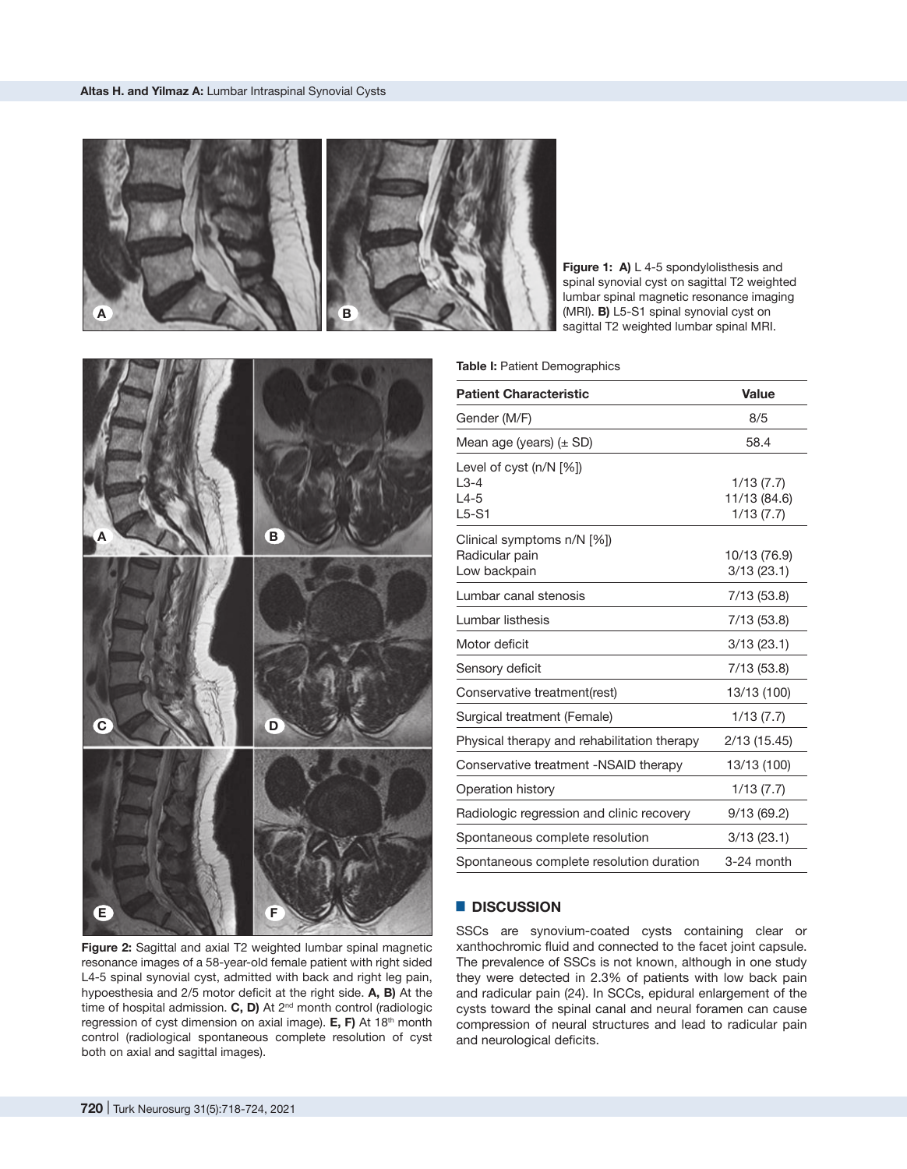

Figure 1: A) L 4-5 spondylolisthesis and spinal synovial cyst on sagittal T2 weighted lumbar spinal magnetic resonance imaging (MRI). **B)** L5-S1 spinal synovial cyst on sagittal T2 weighted lumbar spinal MRI.

**Table I: Patient Demographics** 

| <b>Patient Characteristic</b>                                | Value                                  |
|--------------------------------------------------------------|----------------------------------------|
| Gender (M/F)                                                 | 8/5                                    |
| Mean age (years) $(\pm$ SD)                                  | 58.4                                   |
| Level of cyst $(n/N \leq 1)$<br>$L3-4$<br>$L4-5$<br>$L5-S1$  | 1/13(7.7)<br>11/13 (84.6)<br>1/13(7.7) |
| Clinical symptoms n/N [%])<br>Radicular pain<br>Low backpain | 10/13 (76.9)<br>3/13(23.1)             |
| Lumbar canal stenosis                                        | 7/13 (53.8)                            |
| Lumbar listhesis                                             | 7/13 (53.8)                            |
| Motor deficit                                                | 3/13(23.1)                             |
| Sensory deficit                                              | 7/13 (53.8)                            |
| Conservative treatment(rest)                                 | 13/13 (100)                            |
| Surgical treatment (Female)                                  | 1/13(7.7)                              |
| Physical therapy and rehabilitation therapy                  | 2/13 (15.45)                           |
| Conservative treatment -NSAID therapy                        | 13/13 (100)                            |
| Operation history                                            | 1/13(7.7)                              |
| Radiologic regression and clinic recovery                    | 9/13(69.2)                             |
| Spontaneous complete resolution                              | 3/13(23.1)                             |
| Spontaneous complete resolution duration                     | 3-24 month                             |

#### █ **DISCUSSION**

SSCs are synovium-coated cysts containing clear or xanthochromic fluid and connected to the facet joint capsule. The prevalence of SSCs is not known, although in one study they were detected in 2.3% of patients with low back pain and radicular pain (24). In SCCs, epidural enlargement of the cysts toward the spinal canal and neural foramen can cause compression of neural structures and lead to radicular pain and neurological deficits.



**Figure 2:** Sagittal and axial T2 weighted lumbar spinal magnetic resonance images of a 58-year-old female patient with right sided L4-5 spinal synovial cyst, admitted with back and right leg pain, hypoesthesia and 2/5 motor deficit at the right side. **A, B)** At the time of hospital admission. **C, D)** At 2<sup>nd</sup> month control (radiologic regression of cyst dimension on axial image). **E, F)** At 18th month control (radiological spontaneous complete resolution of cyst both on axial and sagittal images).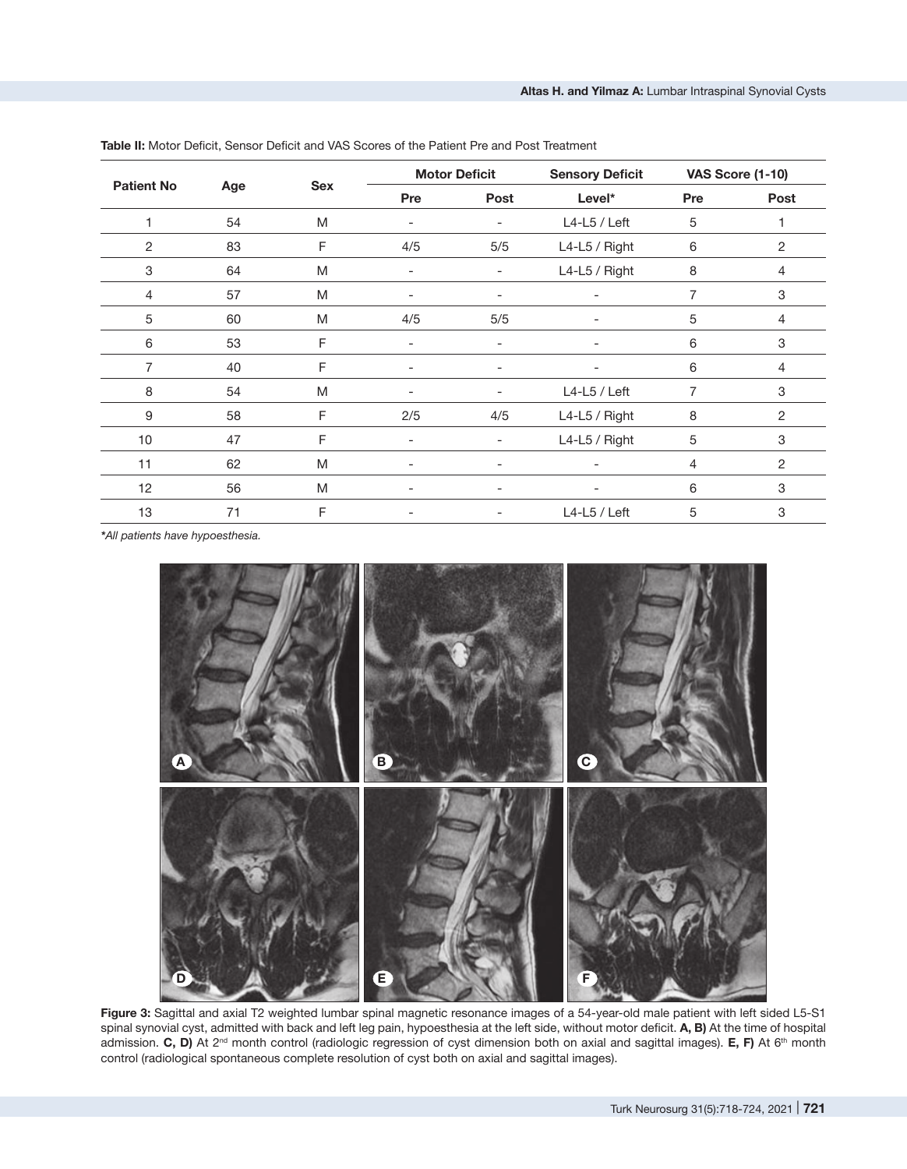| <b>Patient No</b> | Age | <b>Sex</b> | <b>Motor Deficit</b>     |                              | <b>Sensory Deficit</b>   | <b>VAS Score (1-10)</b> |                           |
|-------------------|-----|------------|--------------------------|------------------------------|--------------------------|-------------------------|---------------------------|
|                   |     |            | Pre                      | <b>Post</b>                  | Level*                   | Pre                     | Post                      |
|                   | 54  | M          | $\overline{\phantom{a}}$ | $\overline{\phantom{a}}$     | $L4-L5$ / Left           | 5                       |                           |
| $\overline{c}$    | 83  | F          | 4/5                      | 5/5                          | L4-L5 / Right            | 6                       | 2                         |
| 3                 | 64  | M          | $\qquad \qquad -$        | $\overline{\phantom{a}}$     | L4-L5 / Right            | 8                       | 4                         |
| 4                 | 57  | M          | -                        | $\qquad \qquad \blacksquare$ |                          | 7                       | 3                         |
| 5                 | 60  | M          | 4/5                      | 5/5                          | $\overline{\phantom{a}}$ | 5                       | $\overline{4}$            |
| 6                 | 53  | F          | $\overline{\phantom{0}}$ | $\overline{\phantom{a}}$     |                          | 6                       | $\ensuremath{\mathsf{3}}$ |
| 7                 | 40  | F          | $\overline{\phantom{0}}$ | $\qquad \qquad \blacksquare$ |                          | 6                       | 4                         |
| 8                 | 54  | M          | $\overline{\phantom{0}}$ | $\overline{\phantom{0}}$     | $L4-L5$ / Left           | 7                       | 3                         |
| 9                 | 58  | F          | 2/5                      | 4/5                          | L4-L5 / Right            | 8                       | 2                         |
| 10                | 47  | F          | -                        | $\overline{\phantom{0}}$     | L4-L5 / Right            | 5                       | 3                         |
| 11                | 62  | M          | -                        | $\overline{\phantom{a}}$     |                          | 4                       | 2                         |
| 12                | 56  | M          | -                        | $\overline{\phantom{a}}$     | $\overline{\phantom{a}}$ | 6                       | 3                         |
| 13                | 71  | F          |                          | $\overline{\phantom{0}}$     | $L4-L5$ / Left           | 5                       | 3                         |

**Table II:** Motor Deficit, Sensor Deficit and VAS Scores of the Patient Pre and Post Treatment

*\*All patients have hypoesthesia.*



**Figure 3:** Sagittal and axial T2 weighted lumbar spinal magnetic resonance images of a 54-year-old male patient with left sided L5-S1 spinal synovial cyst, admitted with back and left leg pain, hypoesthesia at the left side, without motor deficit. **A, B)** At the time of hospital admission. C, D) At 2<sup>nd</sup> month control (radiologic regression of cyst dimension both on axial and sagittal images). E, F) At 6<sup>th</sup> month control (radiological spontaneous complete resolution of cyst both on axial and sagittal images).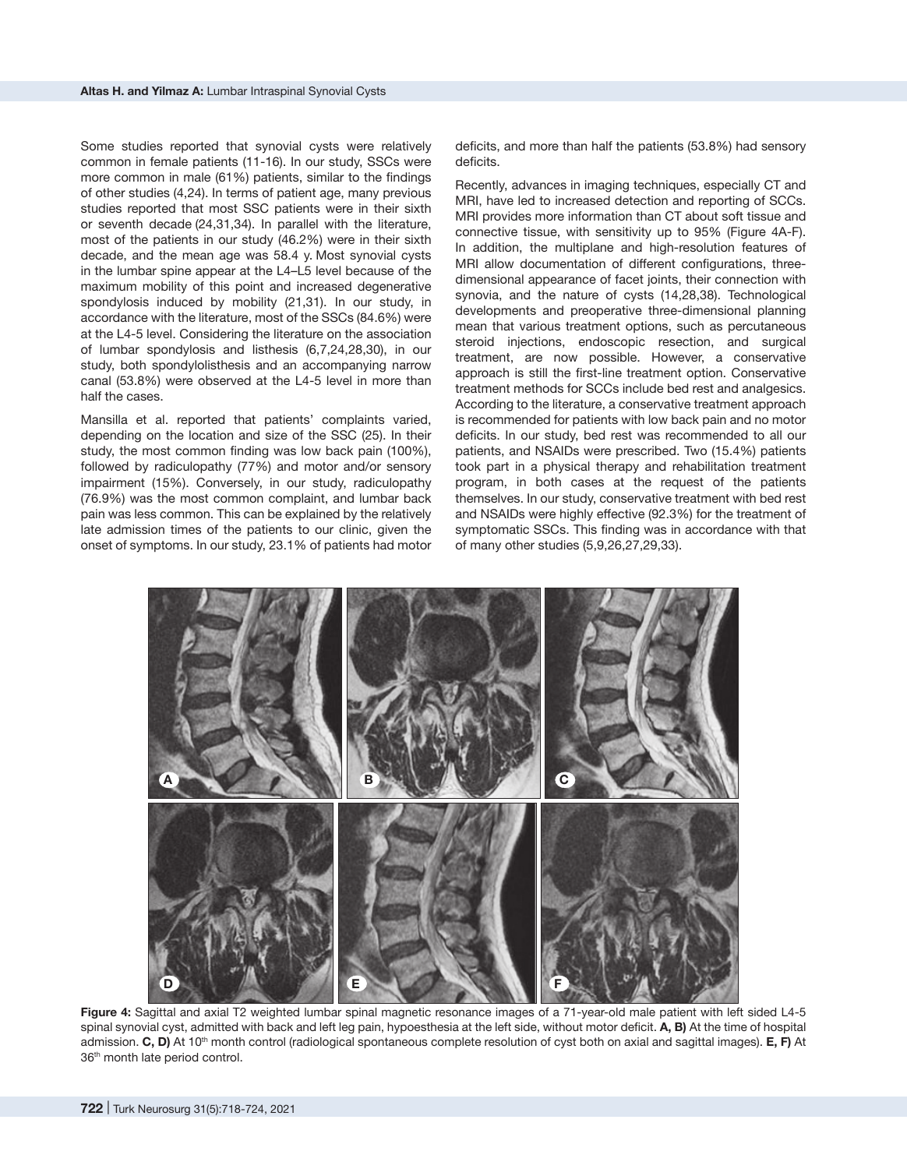Some studies reported that synovial cysts were relatively common in female patients (11-16). In our study, SSCs were more common in male (61%) patients, similar to the findings of other studies (4,24). In terms of patient age, many previous studies reported that most SSC patients were in their sixth or seventh decade (24,31,34). In parallel with the literature, most of the patients in our study (46.2%) were in their sixth decade, and the mean age was 58.4 y. Most synovial cysts in the lumbar spine appear at the L4–L5 level because of the maximum mobility of this point and increased degenerative spondylosis induced by mobility (21,31). In our study, in accordance with the literature, most of the SSCs (84.6%) were at the L4-5 level. Considering the literature on the association of lumbar spondylosis and listhesis (6,7,24,28,30), in our study, both spondylolisthesis and an accompanying narrow canal (53.8%) were observed at the L4-5 level in more than half the cases.

Mansilla et al. reported that patients' complaints varied, depending on the location and size of the SSC (25). In their study, the most common finding was low back pain (100%), followed by radiculopathy (77%) and motor and/or sensory impairment (15%). Conversely, in our study, radiculopathy (76.9%) was the most common complaint, and lumbar back pain was less common. This can be explained by the relatively late admission times of the patients to our clinic, given the onset of symptoms. In our study, 23.1% of patients had motor deficits, and more than half the patients (53.8%) had sensory deficits.

Recently, advances in imaging techniques, especially CT and MRI, have led to increased detection and reporting of SCCs. MRI provides more information than CT about soft tissue and connective tissue, with sensitivity up to 95% (Figure 4A-F). In addition, the multiplane and high-resolution features of MRI allow documentation of different configurations, threedimensional appearance of facet joints, their connection with synovia, and the nature of cysts (14,28,38). Technological developments and preoperative three-dimensional planning mean that various treatment options, such as percutaneous steroid injections, endoscopic resection, and surgical treatment, are now possible. However, a conservative approach is still the first-line treatment option. Conservative treatment methods for SCCs include bed rest and analgesics. According to the literature, a conservative treatment approach is recommended for patients with low back pain and no motor deficits. In our study, bed rest was recommended to all our patients, and NSAIDs were prescribed. Two (15.4%) patients took part in a physical therapy and rehabilitation treatment program, in both cases at the request of the patients themselves. In our study, conservative treatment with bed rest and NSAIDs were highly effective (92.3%) for the treatment of symptomatic SSCs. This finding was in accordance with that of many other studies (5,9,26,27,29,33).



**Figure 4:** Sagittal and axial T2 weighted lumbar spinal magnetic resonance images of a 71-year-old male patient with left sided L4-5 spinal synovial cyst, admitted with back and left leg pain, hypoesthesia at the left side, without motor deficit. **A, B)** At the time of hospital admission. **C, D)** At 10th month control (radiological spontaneous complete resolution of cyst both on axial and sagittal images). **E, F)** At 36th month late period control.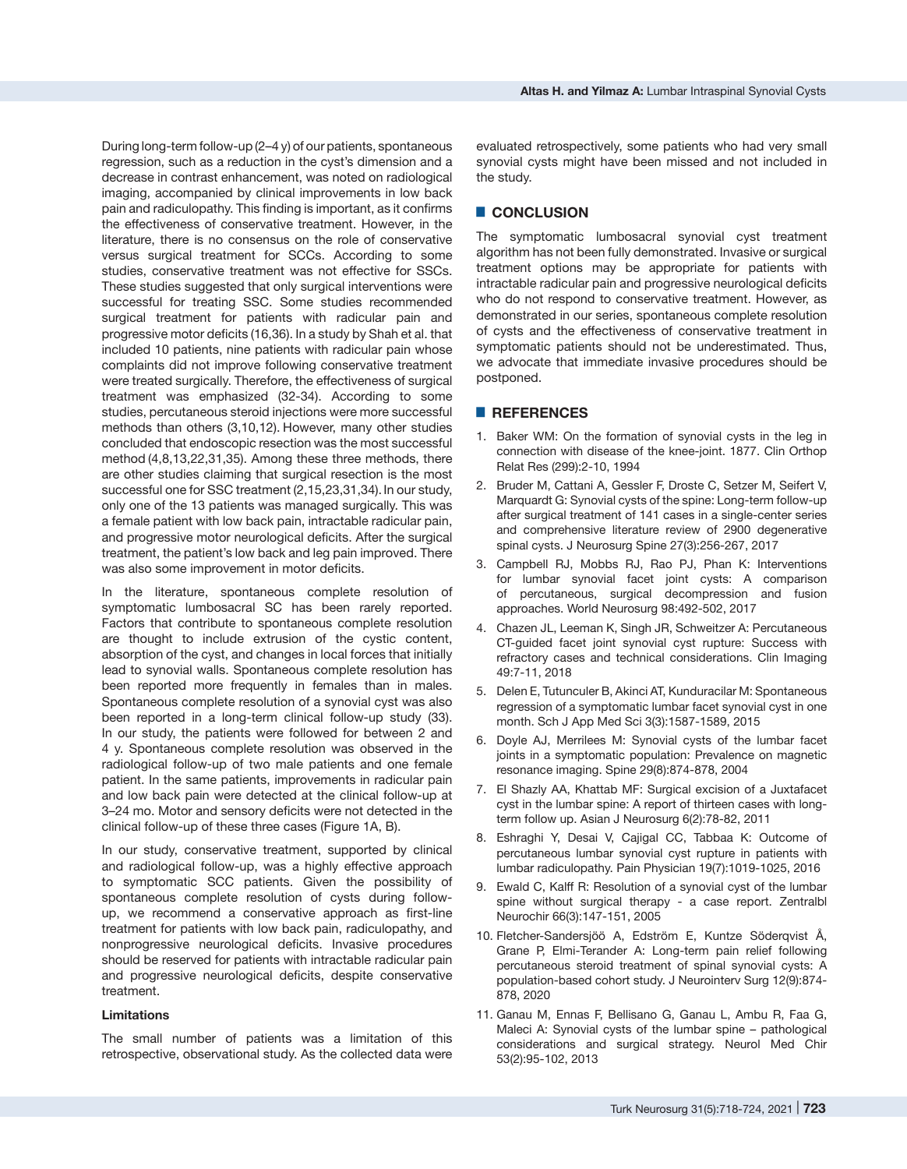During long-term follow-up (2–4 y) of our patients, spontaneous regression, such as a reduction in the cyst's dimension and a decrease in contrast enhancement, was noted on radiological imaging, accompanied by clinical improvements in low back pain and radiculopathy. This finding is important, as it confirms the effectiveness of conservative treatment. However, in the literature, there is no consensus on the role of conservative versus surgical treatment for SCCs. According to some studies, conservative treatment was not effective for SSCs. These studies suggested that only surgical interventions were successful for treating SSC. Some studies recommended surgical treatment for patients with radicular pain and progressive motor deficits (16,36). In a study by Shah et al. that included 10 patients, nine patients with radicular pain whose complaints did not improve following conservative treatment were treated surgically. Therefore, the effectiveness of surgical treatment was emphasized (32-34). According to some studies, percutaneous steroid injections were more successful methods than others (3,10,12). However, many other studies concluded that endoscopic resection was the most successful method (4,8,13,22,31,35). Among these three methods, there are other studies claiming that surgical resection is the most successful one for SSC treatment (2,15,23,31,34). In our study, only one of the 13 patients was managed surgically. This was a female patient with low back pain, intractable radicular pain, and progressive motor neurological deficits. After the surgical treatment, the patient's low back and leg pain improved. There was also some improvement in motor deficits.

In the literature, spontaneous complete resolution of symptomatic lumbosacral SC has been rarely reported. Factors that contribute to spontaneous complete resolution are thought to include extrusion of the cystic content, absorption of the cyst, and changes in local forces that initially lead to synovial walls. Spontaneous complete resolution has been reported more frequently in females than in males. Spontaneous complete resolution of a synovial cyst was also been reported in a long-term clinical follow-up study (33). In our study, the patients were followed for between 2 and 4 y. Spontaneous complete resolution was observed in the radiological follow-up of two male patients and one female patient. In the same patients, improvements in radicular pain and low back pain were detected at the clinical follow-up at 3–24 mo. Motor and sensory deficits were not detected in the clinical follow-up of these three cases (Figure 1A, B).

In our study, conservative treatment, supported by clinical and radiological follow-up, was a highly effective approach to symptomatic SCC patients. Given the possibility of spontaneous complete resolution of cysts during followup, we recommend a conservative approach as first-line treatment for patients with low back pain, radiculopathy, and nonprogressive neurological deficits. Invasive procedures should be reserved for patients with intractable radicular pain and progressive neurological deficits, despite conservative treatment.

## **Limitations**

The small number of patients was a limitation of this retrospective, observational study. As the collected data were

evaluated retrospectively, some patients who had very small synovial cysts might have been missed and not included in the study.

# █ **CONCLUSION**

The symptomatic lumbosacral synovial cyst treatment algorithm has not been fully demonstrated. Invasive or surgical treatment options may be appropriate for patients with intractable radicular pain and progressive neurological deficits who do not respond to conservative treatment. However, as demonstrated in our series, spontaneous complete resolution of cysts and the effectiveness of conservative treatment in symptomatic patients should not be underestimated. Thus, we advocate that immediate invasive procedures should be postponed.

### █ **REFERENCES**

- 1. Baker WM: On the formation of synovial cysts in the leg in connection with disease of the knee-joint. 1877. Clin Orthop Relat Res (299):2‐10, 1994
- 2. Bruder M, Cattani A, Gessler F, Droste C, Setzer M, Seifert V, Marquardt G: Synovial cysts of the spine: Long-term follow-up after surgical treatment of 141 cases in a single-center series and comprehensive literature review of 2900 degenerative spinal cysts. J Neurosurg Spine 27(3):256‐267, 2017
- 3. Campbell RJ, Mobbs RJ, Rao PJ, Phan K: Interventions for lumbar synovial facet joint cysts: A comparison of percutaneous, surgical decompression and fusion approaches. World Neurosurg 98:492-502, 2017
- 4. Chazen JL, Leeman K, Singh JR, Schweitzer A: Percutaneous CT-guided facet joint synovial cyst rupture: Success with refractory cases and technical considerations. Clin Imaging 49:7-11, 2018
- 5. Delen E, Tutunculer B, Akinci AT, Kunduracilar M: Spontaneous regression of a symptomatic lumbar facet synovial cyst in one month. Sch J App Med Sci 3(3):1587-1589, 2015
- 6. Doyle AJ, Merrilees M: Synovial cysts of the lumbar facet joints in a symptomatic population: Prevalence on magnetic resonance imaging. Spine 29(8):874‐878, 2004
- 7. El Shazly AA, Khattab MF: Surgical excision of a Juxtafacet cyst in the lumbar spine: A report of thirteen cases with longterm follow up. Asian J Neurosurg 6(2):78‐82, 2011
- 8. Eshraghi Y, Desai V, Cajigal CC, Tabbaa K: Outcome of percutaneous lumbar synovial cyst rupture in patients with lumbar radiculopathy. Pain Physician 19(7):1019-1025, 2016
- 9. Ewald C, Kalff R: Resolution of a synovial cyst of the lumbar spine without surgical therapy - a case report. Zentralbl Neurochir 66(3):147‐151, 2005
- 10. Fletcher-Sandersjöö A, Edström E, Kuntze Söderqvist Å, Grane P, Elmi-Terander A: Long-term pain relief following percutaneous steroid treatment of spinal synovial cysts: A population-based cohort study. J Neurointerv Surg 12(9):874- 878, 2020
- 11. [Ganau M, Ennas F, Bellisano G, Ganau L, Ambu R, Faa G,](http://refhub.elsevier.com/S0967-5868(18)31407-3/h0055)  [Maleci A: Synovial cysts of the lumbar spine – pathological](http://refhub.elsevier.com/S0967-5868(18)31407-3/h0055)  [considerations and surgical strategy. Neurol Med Chir](http://refhub.elsevier.com/S0967-5868(18)31407-3/h0055)  [53\(2\):95-102,](http://refhub.elsevier.com/S0967-5868(18)31407-3/h0055) 2013